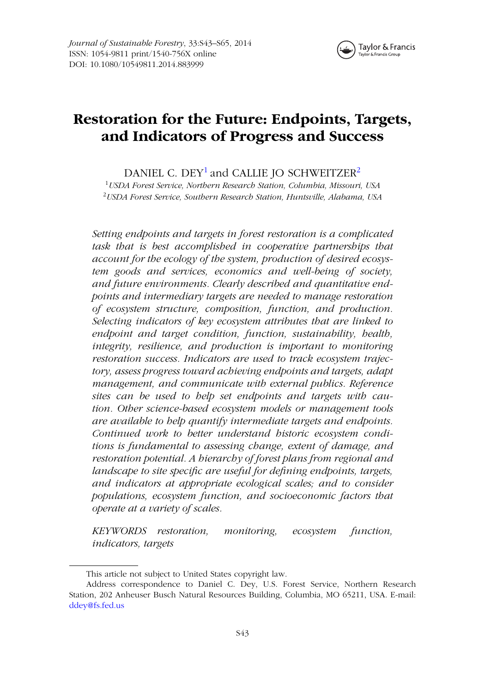

# **Restoration for the Future: Endpoints, Targets, and Indicators of Progress and Success**

<span id="page-0-0"></span>DANIEL C. DEY<sup>1</sup> and CALLIE JO SCHWEITZER<sup>2</sup>

<sup>1</sup>*USDA Forest Service, Northern Research Station, Columbia, Missouri, USA* <sup>2</sup>*USDA Forest Service, Southern Research Station, Huntsville, Alabama, USA*

*Setting endpoints and targets in forest restoration is a complicated task that is best accomplished in cooperative partnerships that account for the ecology of the system, production of desired ecosystem goods and services, economics and well-being of society, and future environments. Clearly described and quantitative endpoints and intermediary targets are needed to manage restoration of ecosystem structure, composition, function, and production. Selecting indicators of key ecosystem attributes that are linked to endpoint and target condition, function, sustainability, health, integrity, resilience, and production is important to monitoring restoration success. Indicators are used to track ecosystem trajectory, assess progress toward achieving endpoints and targets, adapt management, and communicate with external publics. Reference sites can be used to help set endpoints and targets with caution. Other science-based ecosystem models or management tools are available to help quantify intermediate targets and endpoints. Continued work to better understand historic ecosystem conditions is fundamental to assessing change, extent of damage, and restoration potential. A hierarchy of forest plans from regional and landscape to site specific are useful for defining endpoints, targets, and indicators at appropriate ecological scales; and to consider populations, ecosystem function, and socioeconomic factors that operate at a variety of scales.*

*KEYWORDS restoration, monitoring, ecosystem function, indicators, targets*

This article not subject to United States copyright law.

Address correspondence to Daniel C. Dey, U.S. Forest Service, Northern Research Station, 202 Anheuser Busch Natural Resources Building, Columbia, MO 65211, USA. E-mail: [ddey@fs.fed.us](mailto:ddey@fs.fed.us)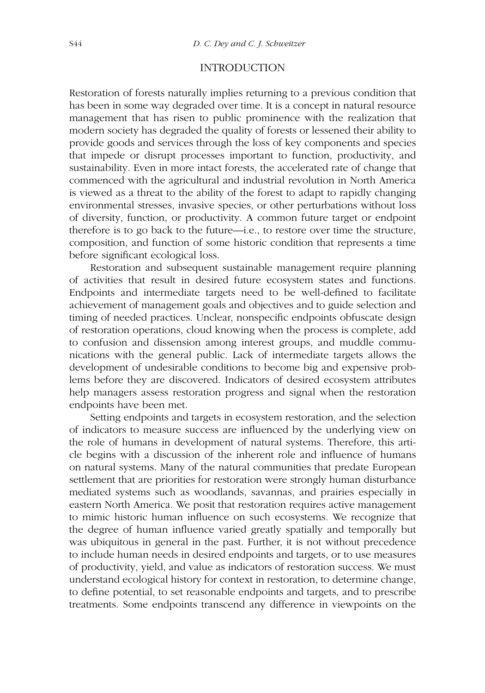### INTRODUCTION

Restoration of forests naturally implies returning to a previous condition that has been in some way degraded over time. It is a concept in natural resource management that has risen to public prominence with the realization that modern society has degraded the quality of forests or lessened their ability to provide goods and services through the loss of key components and species that impede or disrupt processes important to function, productivity, and sustainability. Even in more intact forests, the accelerated rate of change that commenced with the agricultural and industrial revolution in North America is viewed as a threat to the ability of the forest to adapt to rapidly changing environmental stresses, invasive species, or other perturbations without loss of diversity, function, or productivity. A common future target or endpoint therefore is to go back to the future—i.e., to restore over time the structure, composition, and function of some historic condition that represents a time before significant ecological loss.

Restoration and subsequent sustainable management require planning of activities that result in desired future ecosystem states and functions. Endpoints and intermediate targets need to be well-defined to facilitate achievement of management goals and objectives and to guide selection and timing of needed practices. Unclear, nonspecific endpoints obfuscate design of restoration operations, cloud knowing when the process is complete, add to confusion and dissension among interest groups, and muddle communications with the general public. Lack of intermediate targets allows the development of undesirable conditions to become big and expensive problems before they are discovered. Indicators of desired ecosystem attributes help managers assess restoration progress and signal when the restoration endpoints have been met.

Setting endpoints and targets in ecosystem restoration, and the selection of indicators to measure success are influenced by the underlying view on the role of humans in development of natural systems. Therefore, this article begins with a discussion of the inherent role and influence of humans on natural systems. Many of the natural communities that predate European settlement that are priorities for restoration were strongly human disturbance mediated systems such as woodlands, savannas, and prairies especially in eastern North America. We posit that restoration requires active management to mimic historic human influence on such ecosystems. We recognize that the degree of human influence varied greatly spatially and temporally but was ubiquitous in general in the past. Further, it is not without precedence to include human needs in desired endpoints and targets, or to use measures of productivity, yield, and value as indicators of restoration success. We must understand ecological history for context in restoration, to determine change, to define potential, to set reasonable endpoints and targets, and to prescribe treatments. Some endpoints transcend any difference in viewpoints on the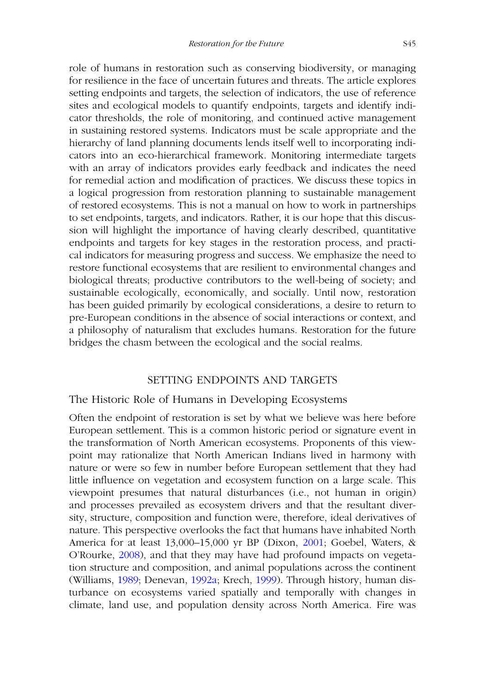role of humans in restoration such as conserving biodiversity, or managing for resilience in the face of uncertain futures and threats. The article explores setting endpoints and targets, the selection of indicators, the use of reference sites and ecological models to quantify endpoints, targets and identify indicator thresholds, the role of monitoring, and continued active management in sustaining restored systems. Indicators must be scale appropriate and the hierarchy of land planning documents lends itself well to incorporating indicators into an eco-hierarchical framework. Monitoring intermediate targets with an array of indicators provides early feedback and indicates the need for remedial action and modification of practices. We discuss these topics in a logical progression from restoration planning to sustainable management of restored ecosystems. This is not a manual on how to work in partnerships to set endpoints, targets, and indicators. Rather, it is our hope that this discussion will highlight the importance of having clearly described, quantitative endpoints and targets for key stages in the restoration process, and practical indicators for measuring progress and success. We emphasize the need to restore functional ecosystems that are resilient to environmental changes and biological threats; productive contributors to the well-being of society; and sustainable ecologically, economically, and socially. Until now, restoration has been guided primarily by ecological considerations, a desire to return to pre-European conditions in the absence of social interactions or context, and a philosophy of naturalism that excludes humans. Restoration for the future bridges the chasm between the ecological and the social realms.

### SETTING ENDPOINTS AND TARGETS

#### The Historic Role of Humans in Developing Ecosystems

Often the endpoint of restoration is set by what we believe was here before European settlement. This is a common historic period or signature event in the transformation of North American ecosystems. Proponents of this viewpoint may rationalize that North American Indians lived in harmony with nature or were so few in number before European settlement that they had little influence on vegetation and ecosystem function on a large scale. This viewpoint presumes that natural disturbances (i.e., not human in origin) and processes prevailed as ecosystem drivers and that the resultant diversity, structure, composition and function were, therefore, ideal derivatives of nature. This perspective overlooks the fact that humans have inhabited North America for at least 13,000–15,000 yr BP (Dixon, [2001;](#page-20-0) Goebel, Waters, & O'Rourke, [2008\)](#page-20-1), and that they may have had profound impacts on vegetation structure and composition, and animal populations across the continent (Williams, [1989;](#page-22-0) Denevan, [1992a;](#page-19-0) Krech, [1999\)](#page-21-0). Through history, human disturbance on ecosystems varied spatially and temporally with changes in climate, land use, and population density across North America. Fire was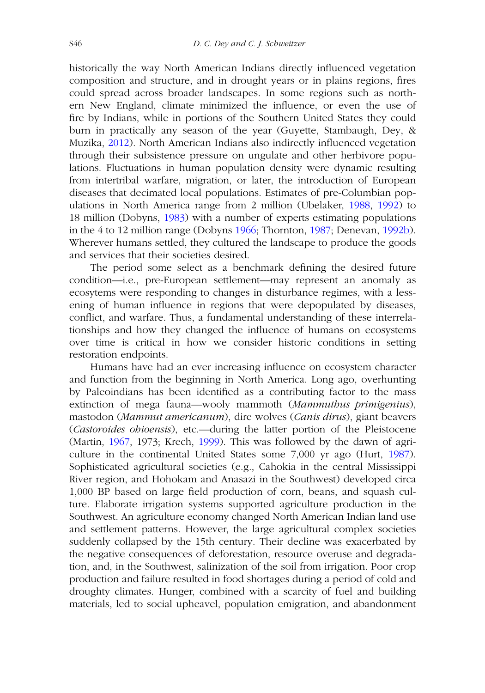historically the way North American Indians directly influenced vegetation composition and structure, and in drought years or in plains regions, fires could spread across broader landscapes. In some regions such as northern New England, climate minimized the influence, or even the use of fire by Indians, while in portions of the Southern United States they could burn in practically any season of the year (Guyette, Stambaugh, Dey, & Muzika, [2012\)](#page-20-2). North American Indians also indirectly influenced vegetation through their subsistence pressure on ungulate and other herbivore populations. Fluctuations in human population density were dynamic resulting from intertribal warfare, migration, or later, the introduction of European diseases that decimated local populations. Estimates of pre-Columbian populations in North America range from 2 million (Ubelaker, [1988,](#page-22-1) [1992\)](#page-22-2) to 18 million (Dobyns, [1983\)](#page-20-3) with a number of experts estimating populations in the 4 to 12 million range (Dobyns [1966;](#page-20-4) Thornton, [1987;](#page-21-1) Denevan, [1992b\)](#page-20-5). Wherever humans settled, they cultured the landscape to produce the goods and services that their societies desired.

The period some select as a benchmark defining the desired future condition—i.e., pre-European settlement—may represent an anomaly as ecosytems were responding to changes in disturbance regimes, with a lessening of human influence in regions that were depopulated by diseases, conflict, and warfare. Thus, a fundamental understanding of these interrelationships and how they changed the influence of humans on ecosystems over time is critical in how we consider historic conditions in setting restoration endpoints.

Humans have had an ever increasing influence on ecosystem character and function from the beginning in North America. Long ago, overhunting by Paleoindians has been identified as a contributing factor to the mass extinction of mega fauna—wooly mammoth (*Mammuthus primigenius*), mastodon (*Mammut americanum*), dire wolves (*Canis dirus*), giant beavers (*Castoroides ohioensis*), etc.—during the latter portion of the Pleistocene (Martin, [1967,](#page-21-2) 1973; Krech, [1999\)](#page-21-0). This was followed by the dawn of agriculture in the continental United States some 7,000 yr ago (Hurt, [1987\)](#page-21-3). Sophisticated agricultural societies (e.g., Cahokia in the central Mississippi River region, and Hohokam and Anasazi in the Southwest) developed circa 1,000 BP based on large field production of corn, beans, and squash culture. Elaborate irrigation systems supported agriculture production in the Southwest. An agriculture economy changed North American Indian land use and settlement patterns. However, the large agricultural complex societies suddenly collapsed by the 15th century. Their decline was exacerbated by the negative consequences of deforestation, resource overuse and degradation, and, in the Southwest, salinization of the soil from irrigation. Poor crop production and failure resulted in food shortages during a period of cold and droughty climates. Hunger, combined with a scarcity of fuel and building materials, led to social upheavel, population emigration, and abandonment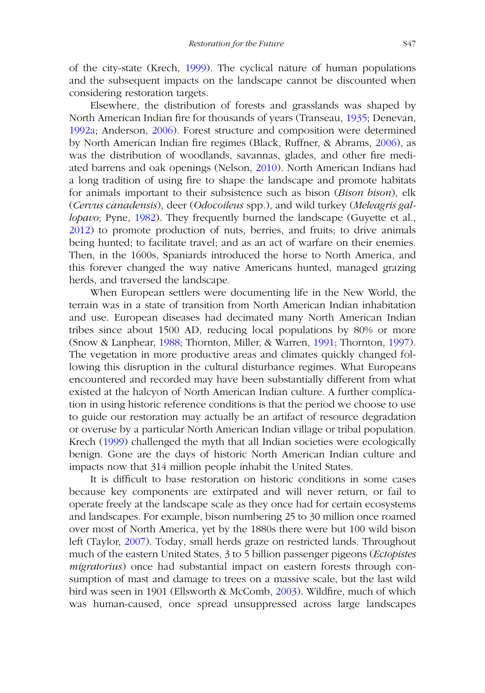of the city-state (Krech, [1999\)](#page-21-0). The cyclical nature of human populations and the subsequent impacts on the landscape cannot be discounted when considering restoration targets.

Elsewhere, the distribution of forests and grasslands was shaped by North American Indian fire for thousands of years (Transeau, [1935;](#page-22-3) Denevan, [1992a;](#page-19-0) Anderson, [2006\)](#page-19-1). Forest structure and composition were determined by North American Indian fire regimes (Black, Ruffner, & Abrams, [2006\)](#page-19-2), as was the distribution of woodlands, savannas, glades, and other fire mediated barrens and oak openings (Nelson, [2010\)](#page-21-4). North American Indians had a long tradition of using fire to shape the landscape and promote habitats for animals important to their subsistence such as bison (*Bison bison*), elk (*Cervus canadensis*), deer (*Odocoileus* spp.), and wild turkey (*Meleagris gallopavo*; Pyne, [1982\)](#page-21-5). They frequently burned the landscape (Guyette et al., [2012\)](#page-20-2) to promote production of nuts, berries, and fruits; to drive animals being hunted; to facilitate travel; and as an act of warfare on their enemies. Then, in the 1600s, Spaniards introduced the horse to North America, and this forever changed the way native Americans hunted, managed grazing herds, and traversed the landscape.

When European settlers were documenting life in the New World, the terrain was in a state of transition from North American Indian inhabitation and use. European diseases had decimated many North American Indian tribes since about 1500 AD, reducing local populations by 80% or more (Snow & Lanphear, [1988;](#page-21-6) Thornton, Miller, & Warren, [1991;](#page-21-7) Thornton, [1997\)](#page-21-8). The vegetation in more productive areas and climates quickly changed following this disruption in the cultural disturbance regimes. What Europeans encountered and recorded may have been substantially different from what existed at the halcyon of North American Indian culture. A further complication in using historic reference conditions is that the period we choose to use to guide our restoration may actually be an artifact of resource degradation or overuse by a particular North American Indian village or tribal population. Krech [\(1999\)](#page-21-0) challenged the myth that all Indian societies were ecologically benign. Gone are the days of historic North American Indian culture and impacts now that 314 million people inhabit the United States.

It is difficult to base restoration on historic conditions in some cases because key components are extirpated and will never return, or fail to operate freely at the landscape scale as they once had for certain ecosystems and landscapes. For example, bison numbering 25 to 30 million once roamed over most of North America, yet by the 1880s there were but 100 wild bison left (Taylor, [2007\)](#page-21-9). Today, small herds graze on restricted lands. Throughout much of the eastern United States, 3 to 5 billion passenger pigeons (*Ectopistes migratorius*) once had substantial impact on eastern forests through consumption of mast and damage to trees on a massive scale, but the last wild bird was seen in 1901 (Ellsworth & McComb, [2003\)](#page-20-6). Wildfire, much of which was human-caused, once spread unsuppressed across large landscapes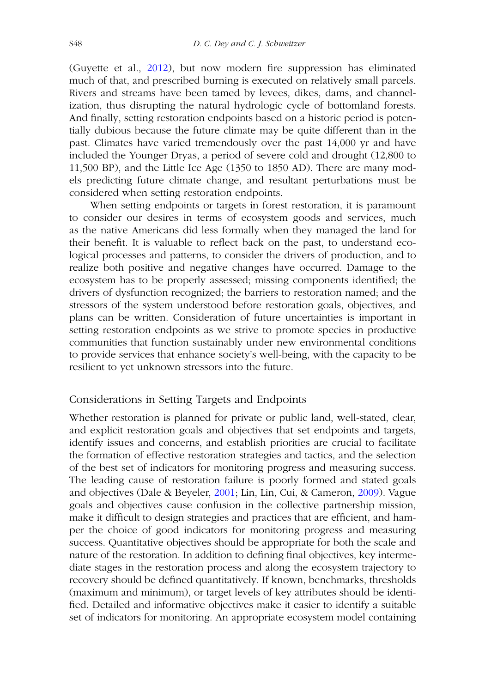(Guyette et al., [2012\)](#page-20-2), but now modern fire suppression has eliminated much of that, and prescribed burning is executed on relatively small parcels. Rivers and streams have been tamed by levees, dikes, dams, and channelization, thus disrupting the natural hydrologic cycle of bottomland forests. And finally, setting restoration endpoints based on a historic period is potentially dubious because the future climate may be quite different than in the past. Climates have varied tremendously over the past 14,000 yr and have included the Younger Dryas, a period of severe cold and drought (12,800 to 11,500 BP), and the Little Ice Age (1350 to 1850 AD). There are many models predicting future climate change, and resultant perturbations must be considered when setting restoration endpoints.

When setting endpoints or targets in forest restoration, it is paramount to consider our desires in terms of ecosystem goods and services, much as the native Americans did less formally when they managed the land for their benefit. It is valuable to reflect back on the past, to understand ecological processes and patterns, to consider the drivers of production, and to realize both positive and negative changes have occurred. Damage to the ecosystem has to be properly assessed; missing components identified; the drivers of dysfunction recognized; the barriers to restoration named; and the stressors of the system understood before restoration goals, objectives, and plans can be written. Consideration of future uncertainties is important in setting restoration endpoints as we strive to promote species in productive communities that function sustainably under new environmental conditions to provide services that enhance society's well-being, with the capacity to be resilient to yet unknown stressors into the future.

## Considerations in Setting Targets and Endpoints

Whether restoration is planned for private or public land, well-stated, clear, and explicit restoration goals and objectives that set endpoints and targets, identify issues and concerns, and establish priorities are crucial to facilitate the formation of effective restoration strategies and tactics, and the selection of the best set of indicators for monitoring progress and measuring success. The leading cause of restoration failure is poorly formed and stated goals and objectives (Dale & Beyeler, [2001;](#page-19-3) Lin, Lin, Cui, & Cameron, [2009\)](#page-21-10). Vague goals and objectives cause confusion in the collective partnership mission, make it difficult to design strategies and practices that are efficient, and hamper the choice of good indicators for monitoring progress and measuring success. Quantitative objectives should be appropriate for both the scale and nature of the restoration. In addition to defining final objectives, key intermediate stages in the restoration process and along the ecosystem trajectory to recovery should be defined quantitatively. If known, benchmarks, thresholds (maximum and minimum), or target levels of key attributes should be identified. Detailed and informative objectives make it easier to identify a suitable set of indicators for monitoring. An appropriate ecosystem model containing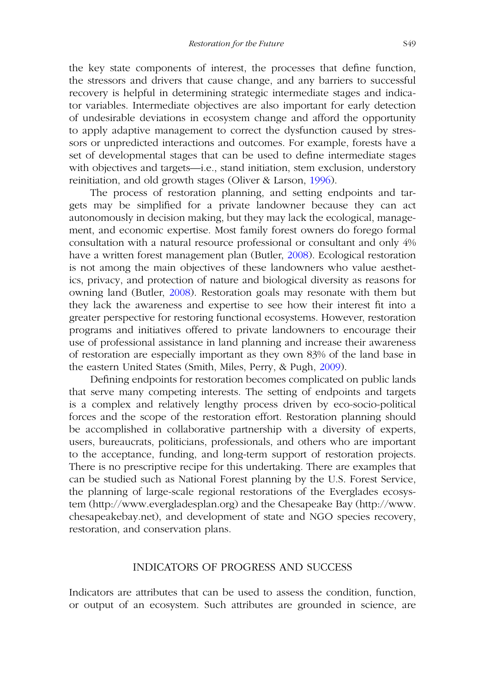the key state components of interest, the processes that define function, the stressors and drivers that cause change, and any barriers to successful recovery is helpful in determining strategic intermediate stages and indicator variables. Intermediate objectives are also important for early detection of undesirable deviations in ecosystem change and afford the opportunity to apply adaptive management to correct the dysfunction caused by stressors or unpredicted interactions and outcomes. For example, forests have a set of developmental stages that can be used to define intermediate stages with objectives and targets—i.e., stand initiation, stem exclusion, understory reinitiation, and old growth stages (Oliver & Larson, [1996\)](#page-21-11).

The process of restoration planning, and setting endpoints and targets may be simplified for a private landowner because they can act autonomously in decision making, but they may lack the ecological, management, and economic expertise. Most family forest owners do forego formal consultation with a natural resource professional or consultant and only 4% have a written forest management plan (Butler, [2008\)](#page-19-4). Ecological restoration is not among the main objectives of these landowners who value aesthetics, privacy, and protection of nature and biological diversity as reasons for owning land (Butler, [2008\)](#page-19-4). Restoration goals may resonate with them but they lack the awareness and expertise to see how their interest fit into a greater perspective for restoring functional ecosystems. However, restoration programs and initiatives offered to private landowners to encourage their use of professional assistance in land planning and increase their awareness of restoration are especially important as they own 83% of the land base in the eastern United States (Smith, Miles, Perry, & Pugh, [2009\)](#page-21-12).

Defining endpoints for restoration becomes complicated on public lands that serve many competing interests. The setting of endpoints and targets is a complex and relatively lengthy process driven by eco-socio-political forces and the scope of the restoration effort. Restoration planning should be accomplished in collaborative partnership with a diversity of experts, users, bureaucrats, politicians, professionals, and others who are important to the acceptance, funding, and long-term support of restoration projects. There is no prescriptive recipe for this undertaking. There are examples that can be studied such as National Forest planning by the U.S. Forest Service, the planning of large-scale regional restorations of the Everglades ecosystem [\(http://www.evergladesplan.org\)](http://www.evergladesplan.org) and the Chesapeake Bay ([http://www](http://www.chesapeakebay.net). [chesapeakebay.ne](http://www.chesapeakebay.net)t), and development of state and NGO species recovery, restoration, and conservation plans.

### INDICATORS OF PROGRESS AND SUCCESS

Indicators are attributes that can be used to assess the condition, function, or output of an ecosystem. Such attributes are grounded in science, are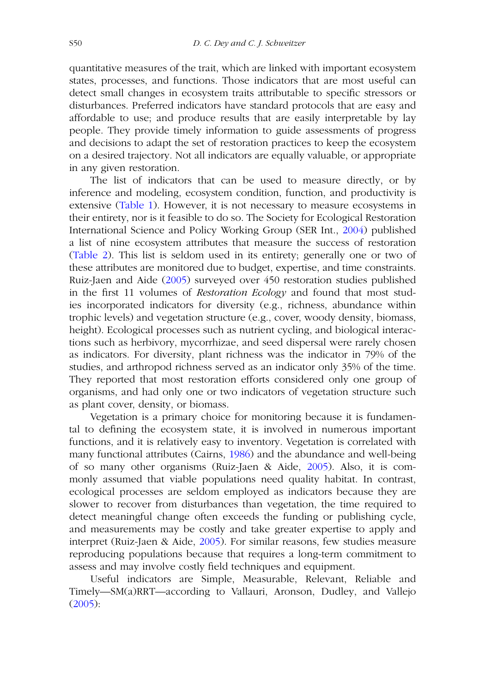quantitative measures of the trait, which are linked with important ecosystem states, processes, and functions. Those indicators that are most useful can detect small changes in ecosystem traits attributable to specific stressors or disturbances. Preferred indicators have standard protocols that are easy and affordable to use; and produce results that are easily interpretable by lay people. They provide timely information to guide assessments of progress and decisions to adapt the set of restoration practices to keep the ecosystem on a desired trajectory. Not all indicators are equally valuable, or appropriate in any given restoration.

The list of indicators that can be used to measure directly, or by inference and modeling, ecosystem condition, function, and productivity is extensive [\(Table 1\)](#page-8-0). However, it is not necessary to measure ecosystems in their entirety, nor is it feasible to do so. The Society for Ecological Restoration International Science and Policy Working Group (SER Int., [2004\)](#page-21-13) published a list of nine ecosystem attributes that measure the success of restoration [\(Table 2\)](#page-10-0). This list is seldom used in its entirety; generally one or two of these attributes are monitored due to budget, expertise, and time constraints. Ruiz-Jaen and Aide [\(2005\)](#page-21-14) surveyed over 450 restoration studies published in the first 11 volumes of *Restoration Ecology* and found that most studies incorporated indicators for diversity (e.g., richness, abundance within trophic levels) and vegetation structure (e.g., cover, woody density, biomass, height). Ecological processes such as nutrient cycling, and biological interactions such as herbivory, mycorrhizae, and seed dispersal were rarely chosen as indicators. For diversity, plant richness was the indicator in 79% of the studies, and arthropod richness served as an indicator only 35% of the time. They reported that most restoration efforts considered only one group of organisms, and had only one or two indicators of vegetation structure such as plant cover, density, or biomass.

Vegetation is a primary choice for monitoring because it is fundamental to defining the ecosystem state, it is involved in numerous important functions, and it is relatively easy to inventory. Vegetation is correlated with many functional attributes (Cairns, [1986\)](#page-19-5) and the abundance and well-being of so many other organisms (Ruiz-Jaen & Aide, [2005\)](#page-21-14). Also, it is commonly assumed that viable populations need quality habitat. In contrast, ecological processes are seldom employed as indicators because they are slower to recover from disturbances than vegetation, the time required to detect meaningful change often exceeds the funding or publishing cycle, and measurements may be costly and take greater expertise to apply and interpret (Ruiz-Jaen & Aide, [2005\)](#page-21-14). For similar reasons, few studies measure reproducing populations because that requires a long-term commitment to assess and may involve costly field techniques and equipment.

Useful indicators are Simple, Measurable, Relevant, Reliable and Timely—SM(a)RRT—according to Vallauri, Aronson, Dudley, and Vallejo [\(2005\)](#page-22-4):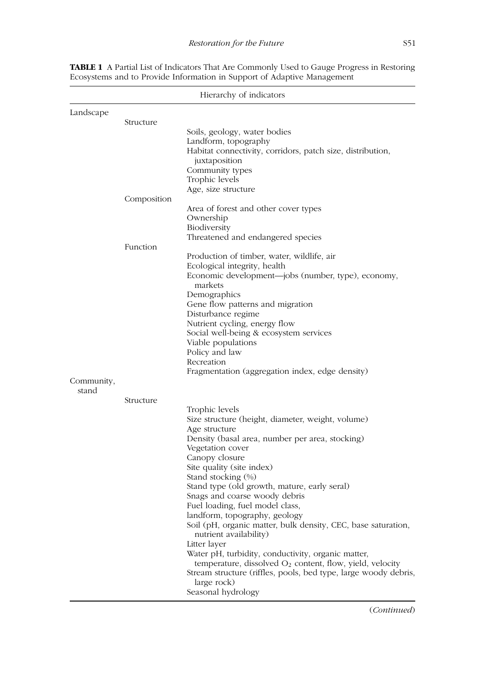| Hierarchy of indicators |             |                                                                                         |
|-------------------------|-------------|-----------------------------------------------------------------------------------------|
| Landscape               |             |                                                                                         |
|                         | Structure   |                                                                                         |
|                         |             | Soils, geology, water bodies                                                            |
|                         |             | Landform, topography<br>Habitat connectivity, corridors, patch size, distribution,      |
|                         |             | juxtaposition                                                                           |
|                         |             | Community types                                                                         |
|                         |             | Trophic levels                                                                          |
|                         |             | Age, size structure                                                                     |
|                         | Composition |                                                                                         |
|                         |             | Area of forest and other cover types                                                    |
|                         |             | Ownership                                                                               |
|                         |             | Biodiversity                                                                            |
|                         | Function    | Threatened and endangered species                                                       |
|                         |             | Production of timber, water, wildlife, air                                              |
|                         |             | Ecological integrity, health                                                            |
|                         |             | Economic development—jobs (number, type), economy,<br>markets                           |
|                         |             | Demographics                                                                            |
|                         |             | Gene flow patterns and migration                                                        |
|                         |             | Disturbance regime<br>Nutrient cycling, energy flow                                     |
|                         |             | Social well-being & ecosystem services                                                  |
|                         |             | Viable populations                                                                      |
|                         |             | Policy and law                                                                          |
|                         |             | Recreation                                                                              |
|                         |             | Fragmentation (aggregation index, edge density)                                         |
| Community,              |             |                                                                                         |
| stand                   | Structure   |                                                                                         |
|                         |             | Trophic levels                                                                          |
|                         |             | Size structure (height, diameter, weight, volume)                                       |
|                         |             | Age structure                                                                           |
|                         |             | Density (basal area, number per area, stocking)                                         |
|                         |             | Vegetation cover                                                                        |
|                         |             | Canopy closure                                                                          |
|                         |             | Site quality (site index)                                                               |
|                         |             | Stand stocking (%)<br>Stand type (old growth, mature, early seral)                      |
|                         |             | Snags and coarse woody debris                                                           |
|                         |             | Fuel loading, fuel model class,                                                         |
|                         |             | landform, topography, geology                                                           |
|                         |             | Soil (pH, organic matter, bulk density, CEC, base saturation,<br>nutrient availability) |
|                         |             | Litter layer                                                                            |
|                         |             | Water pH, turbidity, conductivity, organic matter,                                      |
|                         |             | temperature, dissolved $O_2$ content, flow, yield, velocity                             |
|                         |             | Stream structure (riffles, pools, bed type, large woody debris,<br>large rock)          |
|                         |             | Seasonal hydrology                                                                      |
|                         |             |                                                                                         |

<span id="page-8-0"></span>**TABLE 1** A Partial List of Indicators That Are Commonly Used to Gauge Progress in Restoring Ecosystems and to Provide Information in Support of Adaptive Management

(*Continued*)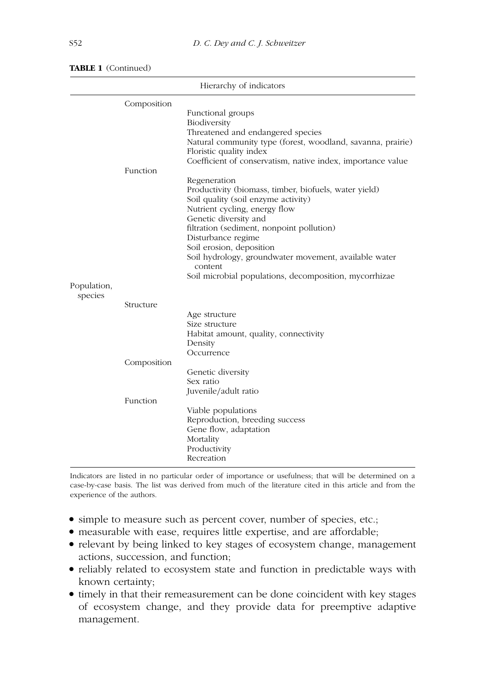|  | <b>TABLE 1</b> (Continued) |
|--|----------------------------|
|--|----------------------------|

| Hierarchy of indicators |             |                                                             |
|-------------------------|-------------|-------------------------------------------------------------|
|                         | Composition |                                                             |
|                         |             | Functional groups                                           |
|                         |             | Biodiversity                                                |
|                         |             | Threatened and endangered species                           |
|                         |             | Natural community type (forest, woodland, savanna, prairie) |
|                         |             | Floristic quality index                                     |
|                         |             | Coefficient of conservatism, native index, importance value |
|                         | Function    |                                                             |
|                         |             | Regeneration                                                |
|                         |             | Productivity (biomass, timber, biofuels, water yield)       |
|                         |             | Soil quality (soil enzyme activity)                         |
|                         |             | Nutrient cycling, energy flow                               |
|                         |             | Genetic diversity and                                       |
|                         |             | filtration (sediment, nonpoint pollution)                   |
|                         |             | Disturbance regime                                          |
|                         |             | Soil erosion, deposition                                    |
|                         |             | Soil hydrology, groundwater movement, available water       |
|                         |             | content                                                     |
| Population,             |             | Soil microbial populations, decomposition, mycorrhizae      |
| species                 |             |                                                             |
|                         | Structure   |                                                             |
|                         |             | Age structure                                               |
|                         |             | Size structure                                              |
|                         |             | Habitat amount, quality, connectivity                       |
|                         |             | Density                                                     |
|                         |             | Occurrence                                                  |
|                         | Composition |                                                             |
|                         |             | Genetic diversity                                           |
|                         |             | Sex ratio                                                   |
|                         |             | Juvenile/adult ratio                                        |
|                         | Function    |                                                             |
|                         |             | Viable populations                                          |
|                         |             | Reproduction, breeding success                              |
|                         |             | Gene flow, adaptation                                       |
|                         |             | Mortality                                                   |
|                         |             | Productivity                                                |
|                         |             | Recreation                                                  |

Indicators are listed in no particular order of importance or usefulness; that will be determined on a case-by-case basis. The list was derived from much of the literature cited in this article and from the experience of the authors.

- simple to measure such as percent cover, number of species, etc.;
- measurable with ease, requires little expertise, and are affordable;
- relevant by being linked to key stages of ecosystem change, management actions, succession, and function;
- reliably related to ecosystem state and function in predictable ways with known certainty;
- timely in that their remeasurement can be done coincident with key stages of ecosystem change, and they provide data for preemptive adaptive management.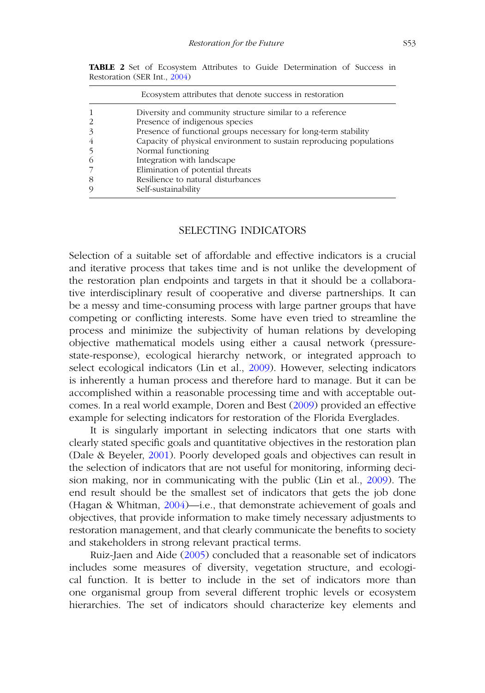|   | Ecosystem attributes that denote success in restoration             |
|---|---------------------------------------------------------------------|
|   | Diversity and community structure similar to a reference            |
|   | Presence of indigenous species                                      |
|   | Presence of functional groups necessary for long-term stability     |
|   | Capacity of physical environment to sustain reproducing populations |
|   | Normal functioning                                                  |
|   | Integration with landscape                                          |
|   | Elimination of potential threats                                    |
| 8 | Resilience to natural disturbances                                  |
|   | Self-sustainability                                                 |

<span id="page-10-0"></span>**TABLE 2** Set of Ecosystem Attributes to Guide Determination of Success in Restoration (SER Int., [2004\)](#page-21-13)

#### SELECTING INDICATORS

Selection of a suitable set of affordable and effective indicators is a crucial and iterative process that takes time and is not unlike the development of the restoration plan endpoints and targets in that it should be a collaborative interdisciplinary result of cooperative and diverse partnerships. It can be a messy and time-consuming process with large partner groups that have competing or conflicting interests. Some have even tried to streamline the process and minimize the subjectivity of human relations by developing objective mathematical models using either a causal network (pressurestate-response), ecological hierarchy network, or integrated approach to select ecological indicators (Lin et al., [2009\)](#page-21-10). However, selecting indicators is inherently a human process and therefore hard to manage. But it can be accomplished within a reasonable processing time and with acceptable outcomes. In a real world example, Doren and Best [\(2009\)](#page-20-7) provided an effective example for selecting indicators for restoration of the Florida Everglades.

It is singularly important in selecting indicators that one starts with clearly stated specific goals and quantitative objectives in the restoration plan (Dale & Beyeler, [2001\)](#page-19-3). Poorly developed goals and objectives can result in the selection of indicators that are not useful for monitoring, informing decision making, nor in communicating with the public (Lin et al., [2009\)](#page-21-10). The end result should be the smallest set of indicators that gets the job done (Hagan & Whitman, [2004\)](#page-20-8)—i.e., that demonstrate achievement of goals and objectives, that provide information to make timely necessary adjustments to restoration management, and that clearly communicate the benefits to society and stakeholders in strong relevant practical terms.

Ruiz-Jaen and Aide [\(2005\)](#page-21-14) concluded that a reasonable set of indicators includes some measures of diversity, vegetation structure, and ecological function. It is better to include in the set of indicators more than one organismal group from several different trophic levels or ecosystem hierarchies. The set of indicators should characterize key elements and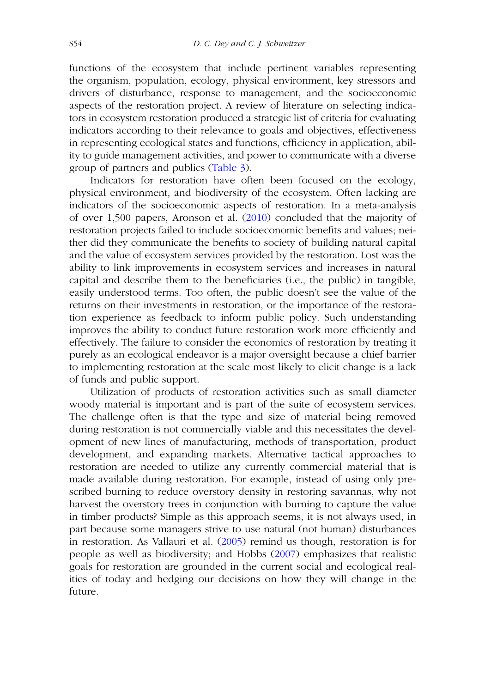functions of the ecosystem that include pertinent variables representing the organism, population, ecology, physical environment, key stressors and drivers of disturbance, response to management, and the socioeconomic aspects of the restoration project. A review of literature on selecting indicators in ecosystem restoration produced a strategic list of criteria for evaluating indicators according to their relevance to goals and objectives, effectiveness in representing ecological states and functions, efficiency in application, ability to guide management activities, and power to communicate with a diverse group of partners and publics [\(Table 3\)](#page-12-0).

Indicators for restoration have often been focused on the ecology, physical environment, and biodiversity of the ecosystem. Often lacking are indicators of the socioeconomic aspects of restoration. In a meta-analysis of over 1,500 papers, Aronson et al. [\(2010\)](#page-19-6) concluded that the majority of restoration projects failed to include socioeconomic benefits and values; neither did they communicate the benefits to society of building natural capital and the value of ecosystem services provided by the restoration. Lost was the ability to link improvements in ecosystem services and increases in natural capital and describe them to the beneficiaries (i.e., the public) in tangible, easily understood terms. Too often, the public doesn't see the value of the returns on their investments in restoration, or the importance of the restoration experience as feedback to inform public policy. Such understanding improves the ability to conduct future restoration work more efficiently and effectively. The failure to consider the economics of restoration by treating it purely as an ecological endeavor is a major oversight because a chief barrier to implementing restoration at the scale most likely to elicit change is a lack of funds and public support.

Utilization of products of restoration activities such as small diameter woody material is important and is part of the suite of ecosystem services. The challenge often is that the type and size of material being removed during restoration is not commercially viable and this necessitates the development of new lines of manufacturing, methods of transportation, product development, and expanding markets. Alternative tactical approaches to restoration are needed to utilize any currently commercial material that is made available during restoration. For example, instead of using only prescribed burning to reduce overstory density in restoring savannas, why not harvest the overstory trees in conjunction with burning to capture the value in timber products? Simple as this approach seems, it is not always used, in part because some managers strive to use natural (not human) disturbances in restoration. As Vallauri et al. [\(2005\)](#page-22-4) remind us though, restoration is for people as well as biodiversity; and Hobbs [\(2007\)](#page-21-15) emphasizes that realistic goals for restoration are grounded in the current social and ecological realities of today and hedging our decisions on how they will change in the future.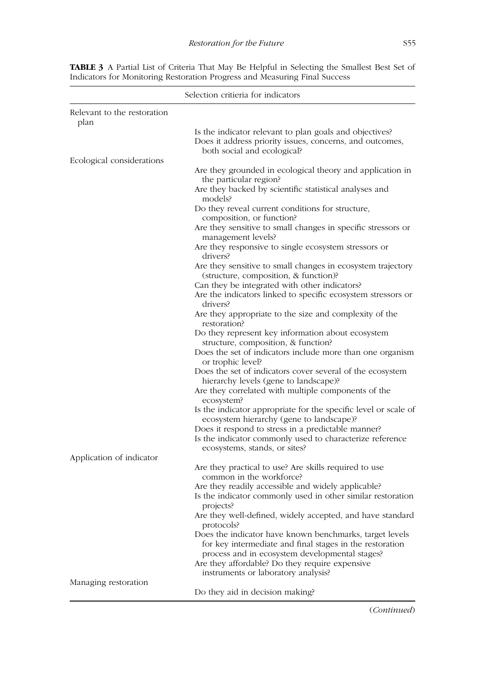| Selection critieria for indicators  |                                                                                                                                                                                                                         |
|-------------------------------------|-------------------------------------------------------------------------------------------------------------------------------------------------------------------------------------------------------------------------|
| Relevant to the restoration<br>plan |                                                                                                                                                                                                                         |
|                                     | Is the indicator relevant to plan goals and objectives?<br>Does it address priority issues, concerns, and outcomes,<br>both social and ecological?                                                                      |
| Ecological considerations           |                                                                                                                                                                                                                         |
|                                     | Are they grounded in ecological theory and application in                                                                                                                                                               |
|                                     | the particular region?<br>Are they backed by scientific statistical analyses and<br>models?                                                                                                                             |
|                                     | Do they reveal current conditions for structure,<br>composition, or function?                                                                                                                                           |
|                                     | Are they sensitive to small changes in specific stressors or<br>management levels?                                                                                                                                      |
|                                     | Are they responsive to single ecosystem stressors or<br>drivers?                                                                                                                                                        |
|                                     | Are they sensitive to small changes in ecosystem trajectory<br>(structure, composition, & function)?                                                                                                                    |
|                                     | Can they be integrated with other indicators?<br>Are the indicators linked to specific ecosystem stressors or<br>drivers?                                                                                               |
|                                     | Are they appropriate to the size and complexity of the<br>restoration?                                                                                                                                                  |
|                                     | Do they represent key information about ecosystem                                                                                                                                                                       |
|                                     | structure, composition, & function?<br>Does the set of indicators include more than one organism<br>or trophic level?                                                                                                   |
|                                     | Does the set of indicators cover several of the ecosystem<br>hierarchy levels (gene to landscape)?                                                                                                                      |
|                                     | Are they correlated with multiple components of the<br>ecosystem?                                                                                                                                                       |
|                                     | Is the indicator appropriate for the specific level or scale of<br>ecosystem hierarchy (gene to landscape)?                                                                                                             |
|                                     | Does it respond to stress in a predictable manner?<br>Is the indicator commonly used to characterize reference                                                                                                          |
|                                     | ecosystems, stands, or sites?                                                                                                                                                                                           |
| Application of indicator            |                                                                                                                                                                                                                         |
|                                     | Are they practical to use? Are skills required to use<br>common in the workforce?                                                                                                                                       |
|                                     | Are they readily accessible and widely applicable?<br>Is the indicator commonly used in other similar restoration<br>projects?                                                                                          |
|                                     | Are they well-defined, widely accepted, and have standard<br>protocols?                                                                                                                                                 |
|                                     | Does the indicator have known benchmarks, target levels<br>for key intermediate and final stages in the restoration<br>process and in ecosystem developmental stages?<br>Are they affordable? Do they require expensive |
|                                     | instruments or laboratory analysis?                                                                                                                                                                                     |
| Managing restoration                | Do they aid in decision making?                                                                                                                                                                                         |

<span id="page-12-0"></span>**TABLE 3** A Partial List of Criteria That May Be Helpful in Selecting the Smallest Best Set of Indicators for Monitoring Restoration Progress and Measuring Final Success

(*Continued*)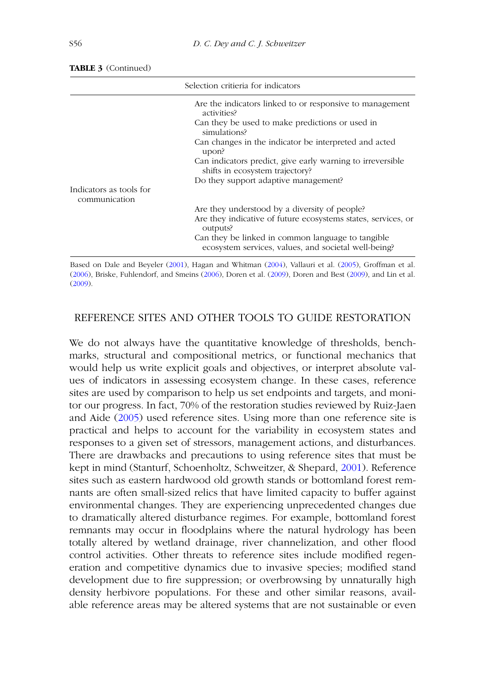|                                          | Selection critieria for indicators                                                                                         |
|------------------------------------------|----------------------------------------------------------------------------------------------------------------------------|
|                                          | Are the indicators linked to or responsive to management<br>activities?                                                    |
|                                          | Can they be used to make predictions or used in<br>simulations?                                                            |
|                                          | Can changes in the indicator be interpreted and acted<br>upon?                                                             |
|                                          | Can indicators predict, give early warning to irreversible<br>shifts in ecosystem trajectory?                              |
|                                          | Do they support adaptive management?                                                                                       |
| Indicators as tools for<br>communication |                                                                                                                            |
|                                          | Are they understood by a diversity of people?<br>Are they indicative of future ecosystems states, services, or<br>outputs? |
|                                          | Can they be linked in common language to tangible<br>ecosystem services, values, and societal well-being?                  |

#### **TABLE 3** (Continued)

Based on Dale and Beyeler [\(2001\)](#page-19-3), Hagan and Whitman [\(2004\)](#page-20-8), Vallauri et al. [\(2005\)](#page-22-4), Groffman et al. [\(2006\)](#page-20-9), Briske, Fuhlendorf, and Smeins [\(2006\)](#page-19-7), Doren et al. [\(2009\)](#page-20-10), Doren and Best [\(2009\)](#page-20-7), and Lin et al. [\(2009\)](#page-21-10).

### REFERENCE SITES AND OTHER TOOLS TO GUIDE RESTORATION

We do not always have the quantitative knowledge of thresholds, benchmarks, structural and compositional metrics, or functional mechanics that would help us write explicit goals and objectives, or interpret absolute values of indicators in assessing ecosystem change. In these cases, reference sites are used by comparison to help us set endpoints and targets, and monitor our progress. In fact, 70% of the restoration studies reviewed by Ruiz-Jaen and Aide [\(2005\)](#page-21-14) used reference sites. Using more than one reference site is practical and helps to account for the variability in ecosystem states and responses to a given set of stressors, management actions, and disturbances. There are drawbacks and precautions to using reference sites that must be kept in mind (Stanturf, Schoenholtz, Schweitzer, & Shepard, [2001\)](#page-21-16). Reference sites such as eastern hardwood old growth stands or bottomland forest remnants are often small-sized relics that have limited capacity to buffer against environmental changes. They are experiencing unprecedented changes due to dramatically altered disturbance regimes. For example, bottomland forest remnants may occur in floodplains where the natural hydrology has been totally altered by wetland drainage, river channelization, and other flood control activities. Other threats to reference sites include modified regeneration and competitive dynamics due to invasive species; modified stand development due to fire suppression; or overbrowsing by unnaturally high density herbivore populations. For these and other similar reasons, available reference areas may be altered systems that are not sustainable or even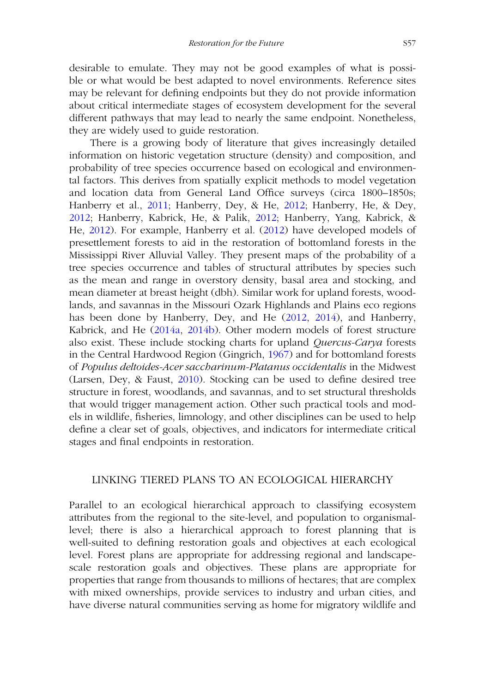desirable to emulate. They may not be good examples of what is possible or what would be best adapted to novel environments. Reference sites may be relevant for defining endpoints but they do not provide information about critical intermediate stages of ecosystem development for the several different pathways that may lead to nearly the same endpoint. Nonetheless, they are widely used to guide restoration.

There is a growing body of literature that gives increasingly detailed information on historic vegetation structure (density) and composition, and probability of tree species occurrence based on ecological and environmental factors. This derives from spatially explicit methods to model vegetation and location data from General Land Office surveys (circa 1800–1850s; Hanberry et al., [2011;](#page-20-11) Hanberry, Dey, & He, [2012;](#page-20-12) Hanberry, He, & Dey, [2012;](#page-20-13) Hanberry, Kabrick, He, & Palik, [2012;](#page-20-14) Hanberry, Yang, Kabrick, & He, [2012\)](#page-20-15). For example, Hanberry et al. [\(2012\)](#page-20-14) have developed models of presettlement forests to aid in the restoration of bottomland forests in the Mississippi River Alluvial Valley. They present maps of the probability of a tree species occurrence and tables of structural attributes by species such as the mean and range in overstory density, basal area and stocking, and mean diameter at breast height (dbh). Similar work for upland forests, woodlands, and savannas in the Missouri Ozark Highlands and Plains eco regions has been done by Hanberry, Dey, and He [\(2012,](#page-20-12) [2014\)](#page-20-16), and Hanberry, Kabrick, and He [\(2014a,](#page-20-17) [2014b\)](#page-20-12). Other modern models of forest structure also exist. These include stocking charts for upland *Quercus-Carya* forests in the Central Hardwood Region (Gingrich, [1967\)](#page-20-18) and for bottomland forests of *Populus deltoides-Acer saccharinum-Platanus occidentalis* in the Midwest (Larsen, Dey, & Faust, [2010\)](#page-21-17). Stocking can be used to define desired tree structure in forest, woodlands, and savannas, and to set structural thresholds that would trigger management action. Other such practical tools and models in wildlife, fisheries, limnology, and other disciplines can be used to help define a clear set of goals, objectives, and indicators for intermediate critical stages and final endpoints in restoration.

### LINKING TIERED PLANS TO AN ECOLOGICAL HIERARCHY

Parallel to an ecological hierarchical approach to classifying ecosystem attributes from the regional to the site-level, and population to organismallevel; there is also a hierarchical approach to forest planning that is well-suited to defining restoration goals and objectives at each ecological level. Forest plans are appropriate for addressing regional and landscapescale restoration goals and objectives. These plans are appropriate for properties that range from thousands to millions of hectares; that are complex with mixed ownerships, provide services to industry and urban cities, and have diverse natural communities serving as home for migratory wildlife and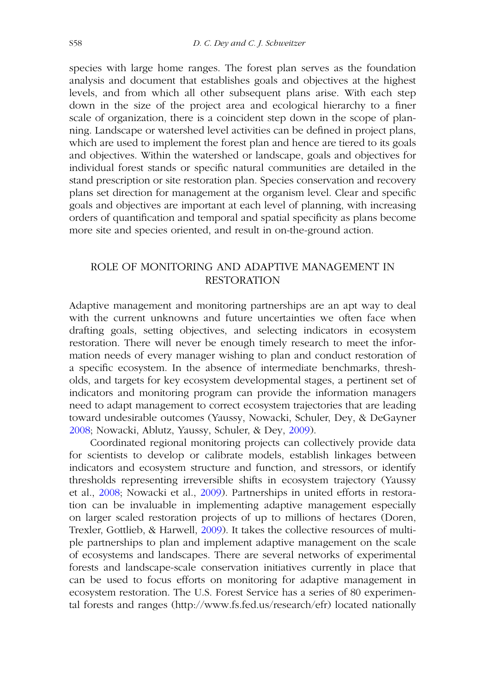species with large home ranges. The forest plan serves as the foundation analysis and document that establishes goals and objectives at the highest levels, and from which all other subsequent plans arise. With each step down in the size of the project area and ecological hierarchy to a finer scale of organization, there is a coincident step down in the scope of planning. Landscape or watershed level activities can be defined in project plans, which are used to implement the forest plan and hence are tiered to its goals and objectives. Within the watershed or landscape, goals and objectives for individual forest stands or specific natural communities are detailed in the stand prescription or site restoration plan. Species conservation and recovery plans set direction for management at the organism level. Clear and specific goals and objectives are important at each level of planning, with increasing orders of quantification and temporal and spatial specificity as plans become more site and species oriented, and result in on-the-ground action.

# ROLE OF MONITORING AND ADAPTIVE MANAGEMENT IN RESTORATION

Adaptive management and monitoring partnerships are an apt way to deal with the current unknowns and future uncertainties we often face when drafting goals, setting objectives, and selecting indicators in ecosystem restoration. There will never be enough timely research to meet the information needs of every manager wishing to plan and conduct restoration of a specific ecosystem. In the absence of intermediate benchmarks, thresholds, and targets for key ecosystem developmental stages, a pertinent set of indicators and monitoring program can provide the information managers need to adapt management to correct ecosystem trajectories that are leading toward undesirable outcomes (Yaussy, Nowacki, Schuler, Dey, & DeGayner [2008;](#page-22-5) Nowacki, Ablutz, Yaussy, Schuler, & Dey, [2009\)](#page-21-18).

Coordinated regional monitoring projects can collectively provide data for scientists to develop or calibrate models, establish linkages between indicators and ecosystem structure and function, and stressors, or identify thresholds representing irreversible shifts in ecosystem trajectory (Yaussy et al., [2008;](#page-22-5) Nowacki et al., [2009\)](#page-21-18). Partnerships in united efforts in restoration can be invaluable in implementing adaptive management especially on larger scaled restoration projects of up to millions of hectares (Doren, Trexler, Gottlieb, & Harwell, [2009\)](#page-20-10). It takes the collective resources of multiple partnerships to plan and implement adaptive management on the scale of ecosystems and landscapes. There are several networks of experimental forests and landscape-scale conservation initiatives currently in place that can be used to focus efforts on monitoring for adaptive management in ecosystem restoration. The U.S. Forest Service has a series of 80 experimental forests and ranges [\(http://www.fs.fed.us/research/efr\)](http://www.fs.fed.us/research/efr) located nationally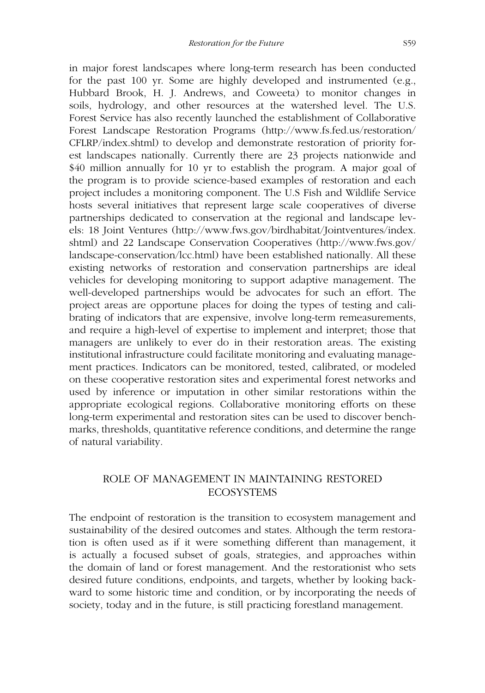in major forest landscapes where long-term research has been conducted for the past 100 yr. Some are highly developed and instrumented (e.g., Hubbard Brook, H. J. Andrews, and Coweeta) to monitor changes in soils, hydrology, and other resources at the watershed level. The U.S. Forest Service has also recently launched the establishment of Collaborative Forest Landscape Restoration Programs ([http://www.fs.fed.us/restoration/](http://www.fs.fed.us/restoration/CFLRP/index.shtml) [CFLRP/index.shtml\)](http://www.fs.fed.us/restoration/CFLRP/index.shtml) to develop and demonstrate restoration of priority forest landscapes nationally. Currently there are 23 projects nationwide and \$40 million annually for 10 yr to establish the program. A major goal of the program is to provide science-based examples of restoration and each project includes a monitoring component. The U.S Fish and Wildlife Service hosts several initiatives that represent large scale cooperatives of diverse partnerships dedicated to conservation at the regional and landscape levels: 18 Joint Ventures ([http://www.fws.gov/birdhabitat/Jointventures/index.](http://www.fws.gov/birdhabitat/Jointventures/index.shtml) [shtml\)](http://www.fws.gov/birdhabitat/Jointventures/index.shtml) and 22 Landscape Conservation Cooperatives ([http://www.fws.gov/](http://www.fws.gov/landscape-conservation/lcc.html) [landscape-conservation/lcc.html\)](http://www.fws.gov/landscape-conservation/lcc.html) have been established nationally. All these existing networks of restoration and conservation partnerships are ideal vehicles for developing monitoring to support adaptive management. The well-developed partnerships would be advocates for such an effort. The project areas are opportune places for doing the types of testing and calibrating of indicators that are expensive, involve long-term remeasurements, and require a high-level of expertise to implement and interpret; those that managers are unlikely to ever do in their restoration areas. The existing institutional infrastructure could facilitate monitoring and evaluating management practices. Indicators can be monitored, tested, calibrated, or modeled on these cooperative restoration sites and experimental forest networks and used by inference or imputation in other similar restorations within the appropriate ecological regions. Collaborative monitoring efforts on these long-term experimental and restoration sites can be used to discover benchmarks, thresholds, quantitative reference conditions, and determine the range of natural variability.

# ROLE OF MANAGEMENT IN MAINTAINING RESTORED ECOSYSTEMS

The endpoint of restoration is the transition to ecosystem management and sustainability of the desired outcomes and states. Although the term restoration is often used as if it were something different than management, it is actually a focused subset of goals, strategies, and approaches within the domain of land or forest management. And the restorationist who sets desired future conditions, endpoints, and targets, whether by looking backward to some historic time and condition, or by incorporating the needs of society, today and in the future, is still practicing forestland management.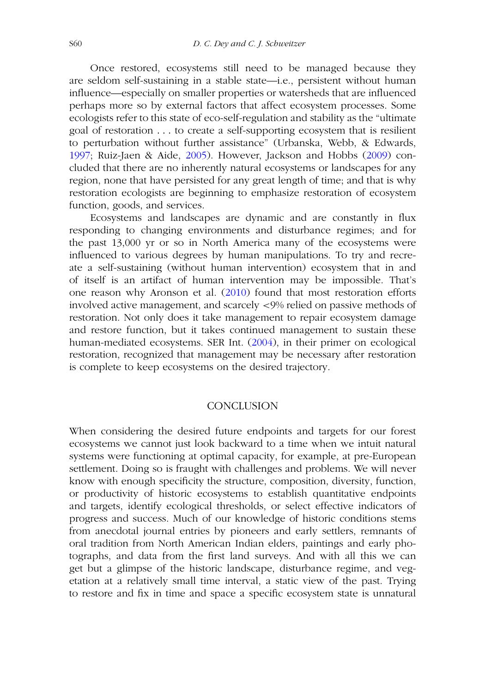Once restored, ecosystems still need to be managed because they are seldom self-sustaining in a stable state—i.e., persistent without human influence—especially on smaller properties or watersheds that are influenced perhaps more so by external factors that affect ecosystem processes. Some ecologists refer to this state of eco-self-regulation and stability as the "ultimate goal of restoration *...* to create a self-supporting ecosystem that is resilient to perturbation without further assistance" (Urbanska, Webb, & Edwards, [1997;](#page-22-6) Ruiz-Jaen & Aide, [2005\)](#page-21-14). However, Jackson and Hobbs [\(2009\)](#page-21-19) concluded that there are no inherently natural ecosystems or landscapes for any region, none that have persisted for any great length of time; and that is why restoration ecologists are beginning to emphasize restoration of ecosystem function, goods, and services.

Ecosystems and landscapes are dynamic and are constantly in flux responding to changing environments and disturbance regimes; and for the past 13,000 yr or so in North America many of the ecosystems were influenced to various degrees by human manipulations. To try and recreate a self-sustaining (without human intervention) ecosystem that in and of itself is an artifact of human intervention may be impossible. That's one reason why Aronson et al. [\(2010\)](#page-19-6) found that most restoration efforts involved active management, and scarcely *<*9% relied on passive methods of restoration. Not only does it take management to repair ecosystem damage and restore function, but it takes continued management to sustain these human-mediated ecosystems. SER Int. [\(2004\)](#page-21-13), in their primer on ecological restoration, recognized that management may be necessary after restoration is complete to keep ecosystems on the desired trajectory.

### **CONCLUSION**

When considering the desired future endpoints and targets for our forest ecosystems we cannot just look backward to a time when we intuit natural systems were functioning at optimal capacity, for example, at pre-European settlement. Doing so is fraught with challenges and problems. We will never know with enough specificity the structure, composition, diversity, function, or productivity of historic ecosystems to establish quantitative endpoints and targets, identify ecological thresholds, or select effective indicators of progress and success. Much of our knowledge of historic conditions stems from anecdotal journal entries by pioneers and early settlers, remnants of oral tradition from North American Indian elders, paintings and early photographs, and data from the first land surveys. And with all this we can get but a glimpse of the historic landscape, disturbance regime, and vegetation at a relatively small time interval, a static view of the past. Trying to restore and fix in time and space a specific ecosystem state is unnatural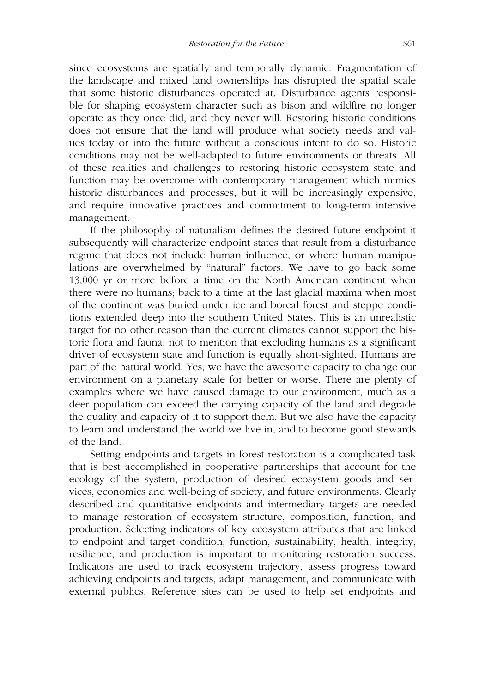since ecosystems are spatially and temporally dynamic. Fragmentation of the landscape and mixed land ownerships has disrupted the spatial scale that some historic disturbances operated at. Disturbance agents responsible for shaping ecosystem character such as bison and wildfire no longer operate as they once did, and they never will. Restoring historic conditions does not ensure that the land will produce what society needs and values today or into the future without a conscious intent to do so. Historic conditions may not be well-adapted to future environments or threats. All of these realities and challenges to restoring historic ecosystem state and function may be overcome with contemporary management which mimics historic disturbances and processes, but it will be increasingly expensive, and require innovative practices and commitment to long-term intensive management.

If the philosophy of naturalism defines the desired future endpoint it subsequently will characterize endpoint states that result from a disturbance regime that does not include human influence, or where human manipulations are overwhelmed by "natural" factors. We have to go back some 13,000 yr or more before a time on the North American continent when there were no humans; back to a time at the last glacial maxima when most of the continent was buried under ice and boreal forest and steppe conditions extended deep into the southern United States. This is an unrealistic target for no other reason than the current climates cannot support the historic flora and fauna; not to mention that excluding humans as a significant driver of ecosystem state and function is equally short-sighted. Humans are part of the natural world. Yes, we have the awesome capacity to change our environment on a planetary scale for better or worse. There are plenty of examples where we have caused damage to our environment, much as a deer population can exceed the carrying capacity of the land and degrade the quality and capacity of it to support them. But we also have the capacity to learn and understand the world we live in, and to become good stewards of the land.

Setting endpoints and targets in forest restoration is a complicated task that is best accomplished in cooperative partnerships that account for the ecology of the system, production of desired ecosystem goods and services, economics and well-being of society, and future environments. Clearly described and quantitative endpoints and intermediary targets are needed to manage restoration of ecosystem structure, composition, function, and production. Selecting indicators of key ecosystem attributes that are linked to endpoint and target condition, function, sustainability, health, integrity, resilience, and production is important to monitoring restoration success. Indicators are used to track ecosystem trajectory, assess progress toward achieving endpoints and targets, adapt management, and communicate with external publics. Reference sites can be used to help set endpoints and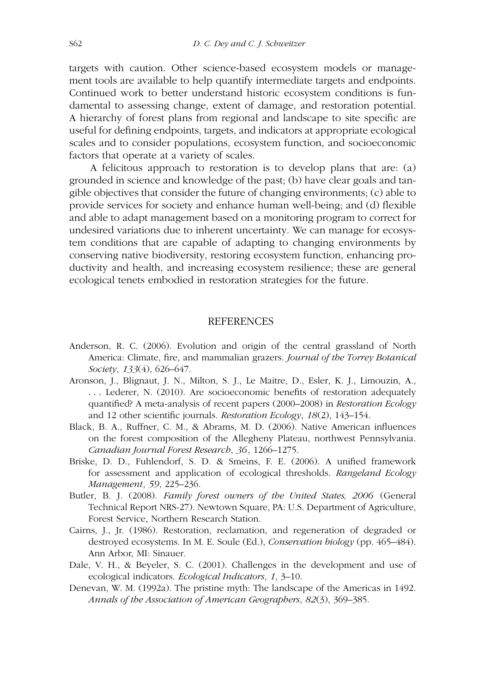targets with caution. Other science-based ecosystem models or management tools are available to help quantify intermediate targets and endpoints. Continued work to better understand historic ecosystem conditions is fundamental to assessing change, extent of damage, and restoration potential. A hierarchy of forest plans from regional and landscape to site specific are useful for defining endpoints, targets, and indicators at appropriate ecological scales and to consider populations, ecosystem function, and socioeconomic factors that operate at a variety of scales.

A felicitous approach to restoration is to develop plans that are: (a) grounded in science and knowledge of the past; (b) have clear goals and tangible objectives that consider the future of changing environments; (c) able to provide services for society and enhance human well-being; and (d) flexible and able to adapt management based on a monitoring program to correct for undesired variations due to inherent uncertainty. We can manage for ecosystem conditions that are capable of adapting to changing environments by conserving native biodiversity, restoring ecosystem function, enhancing productivity and health, and increasing ecosystem resilience; these are general ecological tenets embodied in restoration strategies for the future.

#### **REFERENCES**

- <span id="page-19-1"></span>Anderson, R. C. (2006). Evolution and origin of the central grassland of North America: Climate, fire, and mammalian grazers. *Journal of the Torrey Botanical Society*, *133*(4), 626–647.
- <span id="page-19-6"></span>Aronson, J., Blignaut, J. N., Milton, S. J., Le Maitre, D., Esler, K. J., Limouzin, A., *...* Lederer, N. (2010). Are socioeconomic benefits of restoration adequately quantified? A meta-analysis of recent papers (2000–2008) in *Restoration Ecology* and 12 other scientific journals. *Restoration Ecology*, *18*(2), 143–154.
- <span id="page-19-2"></span>Black, B. A., Ruffner, C. M., & Abrams, M. D. (2006). Native American influences on the forest composition of the Allegheny Plateau, northwest Pennsylvania. *Canadian Journal Forest Research*, *36*, 1266–1275.
- <span id="page-19-7"></span>Briske, D. D., Fuhlendorf, S. D. & Smeins, F. E. (2006). A unified framework for assessment and application of ecological thresholds. *Rangeland Ecology Management*, *59*, 225–236.
- <span id="page-19-4"></span>Butler, B. J. (2008). *Family forest owners of the United States, 2006* (General Technical Report NRS-27). Newtown Square, PA: U.S. Department of Agriculture, Forest Service, Northern Research Station.
- <span id="page-19-5"></span>Cairns, J., Jr. (1986). Restoration, reclamation, and regeneration of degraded or destroyed ecosystems. In M. E. Soule (Ed.), *Conservation biology* (pp. 465–484). Ann Arbor, MI: Sinauer.
- <span id="page-19-3"></span>Dale, V. H., & Beyeler, S. C. (2001). Challenges in the development and use of ecological indicators. *Ecological Indicators*, *1*, 3–10.
- <span id="page-19-0"></span>Denevan, W. M. (1992a). The pristine myth: The landscape of the Americas in 1492. *Annals of the Association of American Geographers*, *82*(3), 369–385.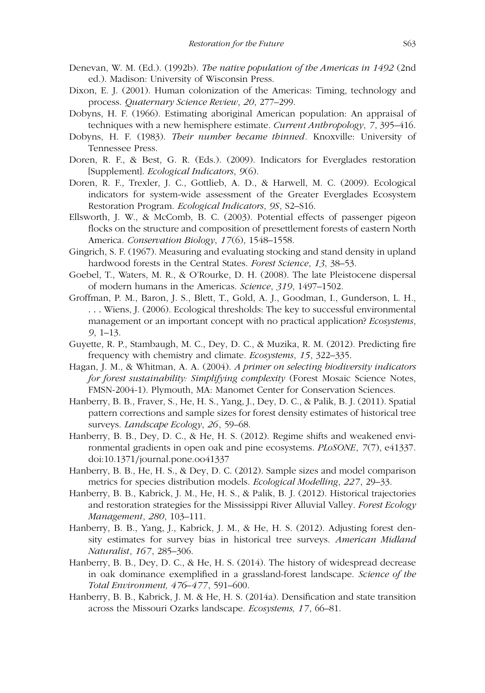- <span id="page-20-5"></span>Denevan, W. M. (Ed.). (1992b). *The native population of the Americas in 1492* (2nd ed.). Madison: University of Wisconsin Press.
- <span id="page-20-0"></span>Dixon, E. J. (2001). Human colonization of the Americas: Timing, technology and process. *Quaternary Science Review*, *20*, 277–299.
- <span id="page-20-4"></span>Dobyns, H. F. (1966). Estimating aboriginal American population: An appraisal of techniques with a new hemisphere estimate. *Current Anthropology*, *7*, 395–416.
- <span id="page-20-3"></span>Dobyns, H. F. (1983). *Their number became thinned*. Knoxville: University of Tennessee Press.
- <span id="page-20-7"></span>Doren, R. F., & Best, G. R. (Eds.). (2009). Indicators for Everglades restoration [Supplement]. *Ecological Indicators*, *9*(6).
- <span id="page-20-10"></span>Doren, R. F., Trexler, J. C., Gottlieb, A. D., & Harwell, M. C. (2009). Ecological indicators for system-wide assessment of the Greater Everglades Ecosystem Restoration Program. *Ecological Indicators*, *9S*, S2–S16.
- <span id="page-20-6"></span>Ellsworth, J. W., & McComb, B. C. (2003). Potential effects of passenger pigeon flocks on the structure and composition of presettlement forests of eastern North America. *Conservation Biology*, *17*(6), 1548–1558.
- <span id="page-20-18"></span>Gingrich, S. F. (1967). Measuring and evaluating stocking and stand density in upland hardwood forests in the Central States. *Forest Science*, *13*, 38–53.
- <span id="page-20-1"></span>Goebel, T., Waters, M. R., & O'Rourke, D. H. (2008). The late Pleistocene dispersal of modern humans in the Americas. *Science*, *319*, 1497–1502.
- <span id="page-20-9"></span>Groffman, P. M., Baron, J. S., Blett, T., Gold, A. J., Goodman, I., Gunderson, L. H., *...* Wiens, J. (2006). Ecological thresholds: The key to successful environmental management or an important concept with no practical application? *Ecosystems*, *9*, 1–13.
- <span id="page-20-2"></span>Guyette, R. P., Stambaugh, M. C., Dey, D. C., & Muzika, R. M. (2012). Predicting fire frequency with chemistry and climate. *Ecosystems*, *15*, 322–335.
- <span id="page-20-8"></span>Hagan, J. M., & Whitman, A. A. (2004). *A primer on selecting biodiversity indicators for forest sustainability: Simplifying complexity* (Forest Mosaic Science Notes, FMSN-2004-1). Plymouth, MA: Manomet Center for Conservation Sciences.
- <span id="page-20-11"></span>Hanberry, B. B., Fraver, S., He, H. S., Yang, J., Dey, D. C., & Palik, B. J. (2011). Spatial pattern corrections and sample sizes for forest density estimates of historical tree surveys. *Landscape Ecology*, *26*, 59–68.
- <span id="page-20-12"></span>Hanberry, B. B., Dey, D. C., & He, H. S. (2012). Regime shifts and weakened environmental gradients in open oak and pine ecosystems. *PLoSONE*, *7*(7), e41337. doi:10.1371*/*journal.pone.oo41337
- <span id="page-20-13"></span>Hanberry, B. B., He, H. S., & Dey, D. C. (2012). Sample sizes and model comparison metrics for species distribution models. *Ecological Modelling*, *227*, 29–33.
- <span id="page-20-14"></span>Hanberry, B. B., Kabrick, J. M., He, H. S., & Palik, B. J. (2012). Historical trajectories and restoration strategies for the Mississippi River Alluvial Valley. *Forest Ecology Management*, *280*, 103–111.
- <span id="page-20-15"></span>Hanberry, B. B., Yang, J., Kabrick, J. M., & He, H. S. (2012). Adjusting forest density estimates for survey bias in historical tree surveys. *American Midland Naturalist*, *167*, 285–306.
- <span id="page-20-16"></span>Hanberry, B. B., Dey, D. C., & He, H. S. (2014). The history of widespread decrease in oak dominance exemplified in a grassland-forest landscape. *Science of the Total Environment, 476–477*, 591–600.
- <span id="page-20-17"></span>Hanberry, B. B., Kabrick, J. M. & He, H. S. (2014a). Densification and state transition across the Missouri Ozarks landscape. *Ecosystems, 17*, 66–81.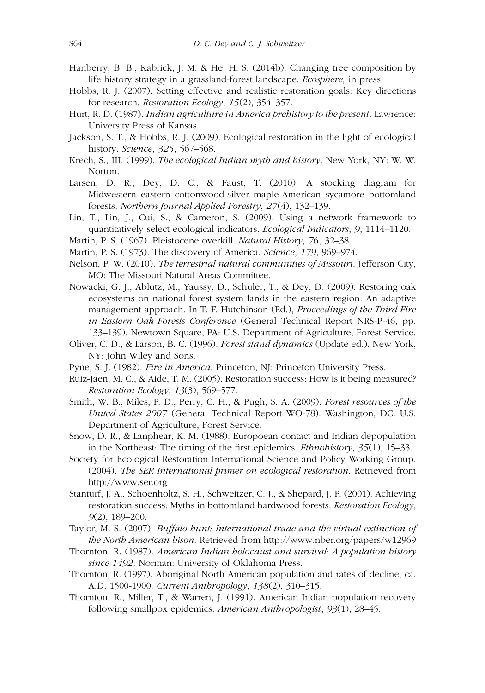- Hanberry, B. B., Kabrick, J. M. & He, H. S. (2014b). Changing tree composition by life history strategy in a grassland-forest landscape. *Ecosphere,* in press.
- <span id="page-21-15"></span>Hobbs, R. J. (2007). Setting effective and realistic restoration goals: Key directions for research. *Restoration Ecology*, *15*(2), 354–357.
- <span id="page-21-3"></span>Hurt, R. D. (1987). *Indian agriculture in America prehistory to the present*. Lawrence: University Press of Kansas.
- <span id="page-21-19"></span>Jackson, S. T., & Hobbs, R. J. (2009). Ecological restoration in the light of ecological history. *Science*, *325*, 567–568.
- <span id="page-21-0"></span>Krech, S., III. (1999). *The ecological Indian myth and history*. New York, NY: W. W. Norton.
- <span id="page-21-17"></span>Larsen, D. R., Dey, D. C., & Faust, T. (2010). A stocking diagram for Midwestern eastern cottonwood-silver maple-American sycamore bottomland forests. *Northern Journal Applied Forestry*, *27*(4), 132–139.
- <span id="page-21-10"></span>Lin, T., Lin, J., Cui, S., & Cameron, S. (2009). Using a network framework to quantitatively select ecological indicators. *Ecological Indicators*, *9*, 1114–1120.
- <span id="page-21-2"></span>Martin, P. S. (1967). Pleistocene overkill. *Natural History*, *76*, 32–38.
- Martin, P. S. (1973). The discovery of America. *Science*, *179*, 969–974.
- <span id="page-21-4"></span>Nelson, P. W. (2010). *The terrestrial natural communities of Missouri*. Jefferson City, MO: The Missouri Natural Areas Committee.
- <span id="page-21-18"></span>Nowacki, G. J., Ablutz, M., Yaussy, D., Schuler, T., & Dey, D. (2009). Restoring oak ecosystems on national forest system lands in the eastern region: An adaptive management approach. In T. F. Hutchinson (Ed.), *Proceedings of the Third Fire in Eastern Oak Forests Conference* (General Technical Report NRS-P-46, pp. 133–139). Newtown Square, PA: U.S. Department of Agriculture, Forest Service.
- <span id="page-21-11"></span>Oliver, C. D., & Larson, B. C. (1996). *Forest stand dynamics* (Update ed.). New York, NY: John Wiley and Sons.
- <span id="page-21-5"></span>Pyne, S. J. (1982). *Fire in America*. Princeton, NJ: Princeton University Press.
- <span id="page-21-14"></span>Ruiz-Jaen, M. C., & Aide, T. M. (2005). Restoration success: How is it being measured? *Restoration Ecology*, *13*(3), 569–577.
- <span id="page-21-12"></span>Smith, W. B., Miles, P. D., Perry, C. H., & Pugh, S. A. (2009). *Forest resources of the United States 2007* (General Technical Report WO-78). Washington, DC: U.S. Department of Agriculture, Forest Service.
- <span id="page-21-6"></span>Snow, D. R., & Lanphear, K. M. (1988). Europoean contact and Indian depopulation in the Northeast: The timing of the first epidemics. *Ethnohistory*, *35*(1), 15–33.
- <span id="page-21-13"></span>Society for Ecological Restoration International Science and Policy Working Group. (2004). *The SER International primer on ecological restoration*. Retrieved from <http://www.ser.org>
- <span id="page-21-16"></span>Stanturf, J. A., Schoenholtz, S. H., Schweitzer, C. J., & Shepard, J. P. (2001). Achieving restoration success: Myths in bottomland hardwood forests. *Restoration Ecology*, *9*(2), 189–200.
- <span id="page-21-9"></span>Taylor, M. S. (2007). *Buffalo hunt: International trade and the virtual extinction of the North American bison*. Retrieved from<http://www.nber.org/papers/w12969>
- <span id="page-21-1"></span>Thornton, R. (1987). *American Indian holocaust and survival: A population history since 1492*. Norman: University of Oklahoma Press.
- <span id="page-21-8"></span>Thornton, R. (1997). Aboriginal North American population and rates of decline, ca. A.D. 1500-1900. *Current Anthropology*, *138*(2), 310–315.
- <span id="page-21-7"></span>Thornton, R., Miller, T., & Warren, J. (1991). American Indian population recovery following smallpox epidemics. *American Anthropologist*, *93*(1), 28–45.